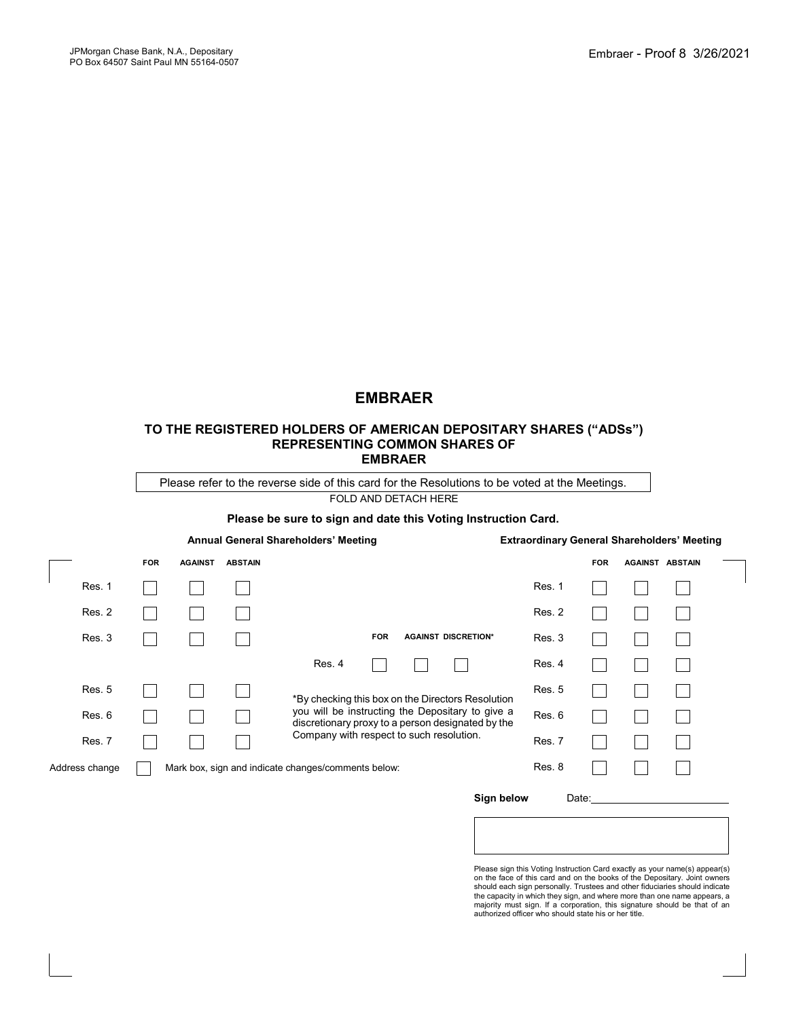# **EMBRAER**

#### **TO THE REGISTERED HOLDERS OF AMERICAN DEPOSITARY SHARES ("ADSs") REPRESENTING COMMON SHARES OF EMBRAER**

Please refer to the reverse side of this card for the Resolutions to be voted at the Meetings.

FOLD AND DETACH HERE

#### **Please be sure to sign and date this Voting Instruction Card.**

|                                                                       |        | Annual General Shareholders' Meeting |                |                |                                                                                                       |                                                   |  |                            | <b>Extraordinary General Shareholders' Meeting</b> |            |                        |  |  |
|-----------------------------------------------------------------------|--------|--------------------------------------|----------------|----------------|-------------------------------------------------------------------------------------------------------|---------------------------------------------------|--|----------------------------|----------------------------------------------------|------------|------------------------|--|--|
|                                                                       |        | <b>FOR</b>                           | <b>AGAINST</b> | <b>ABSTAIN</b> |                                                                                                       |                                                   |  |                            |                                                    | <b>FOR</b> | <b>AGAINST ABSTAIN</b> |  |  |
|                                                                       | Res. 1 |                                      |                |                |                                                                                                       |                                                   |  |                            | Res. 1                                             |            |                        |  |  |
|                                                                       | Res. 2 |                                      |                |                |                                                                                                       |                                                   |  |                            | Res. 2                                             |            |                        |  |  |
|                                                                       | Res. 3 |                                      |                |                |                                                                                                       | <b>FOR</b>                                        |  | <b>AGAINST DISCRETION*</b> | Res. 3                                             |            |                        |  |  |
|                                                                       |        |                                      |                |                | Res. 4                                                                                                |                                                   |  |                            | Res. 4                                             |            |                        |  |  |
|                                                                       | Res. 5 |                                      |                |                |                                                                                                       | *By checking this box on the Directors Resolution |  |                            | <b>Res. 5</b>                                      |            |                        |  |  |
|                                                                       | Res. 6 |                                      |                |                | you will be instructing the Depositary to give a<br>discretionary proxy to a person designated by the |                                                   |  |                            | Res. 6                                             |            |                        |  |  |
|                                                                       | Res. 7 |                                      |                |                |                                                                                                       | Company with respect to such resolution.          |  |                            | Res. 7                                             |            |                        |  |  |
| Address change<br>Mark box, sign and indicate changes/comments below: |        |                                      |                |                |                                                                                                       |                                                   |  | Res. 8                     |                                                    |            |                        |  |  |

#### Sign below Date:

Please sign this Voting Instruction Card exactly as your name(s) appear(s) on the face of this card and on the books of the Depositary. Joint owners<br>should each sign personally. Trustees and other fiduciaries should indicate<br>the capacity in which they sign, and where more than one name appears, a majority must sign. If a corporation, this signature should be that of an authorized officer who should state his or her title.